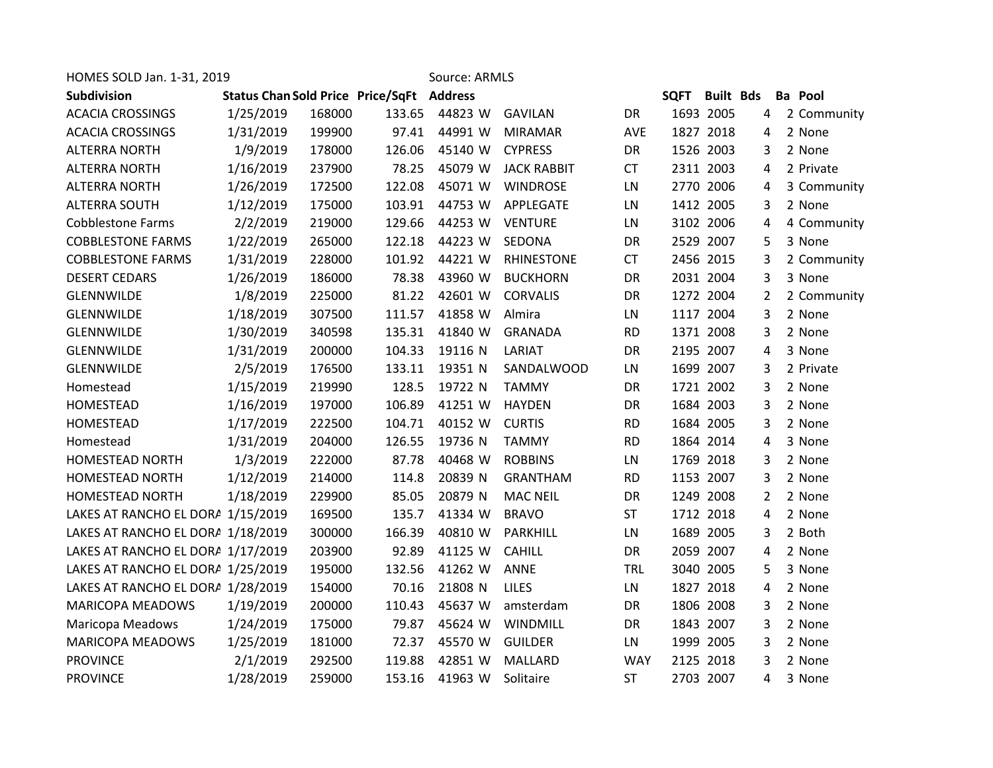| HOMES SOLD Jan. 1-31, 2019<br>Source: ARMLS |                                                  |        |        |         |                    |            |             |                  |   |  |                |
|---------------------------------------------|--------------------------------------------------|--------|--------|---------|--------------------|------------|-------------|------------------|---|--|----------------|
| Subdivision                                 | <b>Status Chan Sold Price Price/SqFt Address</b> |        |        |         |                    |            | <b>SQFT</b> | <b>Built Bds</b> |   |  | <b>Ba</b> Pool |
| <b>ACACIA CROSSINGS</b>                     | 1/25/2019                                        | 168000 | 133.65 | 44823 W | <b>GAVILAN</b>     | DR         |             | 1693 2005        | 4 |  | 2 Community    |
| <b>ACACIA CROSSINGS</b>                     | 1/31/2019                                        | 199900 | 97.41  | 44991 W | <b>MIRAMAR</b>     | AVE        |             | 1827 2018        | 4 |  | 2 None         |
| <b>ALTERRA NORTH</b>                        | 1/9/2019                                         | 178000 | 126.06 | 45140 W | <b>CYPRESS</b>     | <b>DR</b>  |             | 1526 2003        | 3 |  | 2 None         |
| <b>ALTERRA NORTH</b>                        | 1/16/2019                                        | 237900 | 78.25  | 45079 W | <b>JACK RABBIT</b> | <b>CT</b>  |             | 2311 2003        | 4 |  | 2 Private      |
| <b>ALTERRA NORTH</b>                        | 1/26/2019                                        | 172500 | 122.08 | 45071 W | <b>WINDROSE</b>    | LN         |             | 2770 2006        | 4 |  | 3 Community    |
| <b>ALTERRA SOUTH</b>                        | 1/12/2019                                        | 175000 | 103.91 | 44753 W | APPLEGATE          | LN         |             | 1412 2005        | 3 |  | 2 None         |
| <b>Cobblestone Farms</b>                    | 2/2/2019                                         | 219000 | 129.66 | 44253 W | <b>VENTURE</b>     | LN         |             | 3102 2006        | 4 |  | 4 Community    |
| <b>COBBLESTONE FARMS</b>                    | 1/22/2019                                        | 265000 | 122.18 | 44223 W | SEDONA             | DR         |             | 2529 2007        | 5 |  | 3 None         |
| <b>COBBLESTONE FARMS</b>                    | 1/31/2019                                        | 228000 | 101.92 | 44221 W | <b>RHINESTONE</b>  | <b>CT</b>  |             | 2456 2015        | 3 |  | 2 Community    |
| <b>DESERT CEDARS</b>                        | 1/26/2019                                        | 186000 | 78.38  | 43960 W | <b>BUCKHORN</b>    | <b>DR</b>  |             | 2031 2004        | 3 |  | 3 None         |
| <b>GLENNWILDE</b>                           | 1/8/2019                                         | 225000 | 81.22  | 42601 W | <b>CORVALIS</b>    | <b>DR</b>  |             | 1272 2004        | 2 |  | 2 Community    |
| GLENNWILDE                                  | 1/18/2019                                        | 307500 | 111.57 | 41858 W | Almira             | LN         |             | 1117 2004        | 3 |  | 2 None         |
| GLENNWILDE                                  | 1/30/2019                                        | 340598 | 135.31 | 41840 W | <b>GRANADA</b>     | <b>RD</b>  |             | 1371 2008        | 3 |  | 2 None         |
| <b>GLENNWILDE</b>                           | 1/31/2019                                        | 200000 | 104.33 | 19116 N | LARIAT             | DR         |             | 2195 2007        | 4 |  | 3 None         |
| <b>GLENNWILDE</b>                           | 2/5/2019                                         | 176500 | 133.11 | 19351 N | SANDALWOOD         | LN         |             | 1699 2007        | 3 |  | 2 Private      |
| Homestead                                   | 1/15/2019                                        | 219990 | 128.5  | 19722 N | <b>TAMMY</b>       | DR         |             | 1721 2002        | 3 |  | 2 None         |
| <b>HOMESTEAD</b>                            | 1/16/2019                                        | 197000 | 106.89 | 41251 W | <b>HAYDEN</b>      | DR         |             | 1684 2003        | 3 |  | 2 None         |
| <b>HOMESTEAD</b>                            | 1/17/2019                                        | 222500 | 104.71 | 40152 W | <b>CURTIS</b>      | <b>RD</b>  |             | 1684 2005        | 3 |  | 2 None         |
| Homestead                                   | 1/31/2019                                        | 204000 | 126.55 | 19736 N | <b>TAMMY</b>       | <b>RD</b>  |             | 1864 2014        | 4 |  | 3 None         |
| <b>HOMESTEAD NORTH</b>                      | 1/3/2019                                         | 222000 | 87.78  | 40468 W | <b>ROBBINS</b>     | LN         |             | 1769 2018        | 3 |  | 2 None         |
| <b>HOMESTEAD NORTH</b>                      | 1/12/2019                                        | 214000 | 114.8  | 20839 N | <b>GRANTHAM</b>    | <b>RD</b>  |             | 1153 2007        | 3 |  | 2 None         |
| <b>HOMESTEAD NORTH</b>                      | 1/18/2019                                        | 229900 | 85.05  | 20879 N | <b>MAC NEIL</b>    | DR         |             | 1249 2008        | 2 |  | 2 None         |
| LAKES AT RANCHO EL DORA 1/15/2019           |                                                  | 169500 | 135.7  | 41334 W | <b>BRAVO</b>       | <b>ST</b>  |             | 1712 2018        | 4 |  | 2 None         |
| LAKES AT RANCHO EL DORA 1/18/2019           |                                                  | 300000 | 166.39 | 40810 W | PARKHILL           | LN         |             | 1689 2005        | 3 |  | 2 Both         |
| LAKES AT RANCHO EL DORA 1/17/2019           |                                                  | 203900 | 92.89  | 41125 W | <b>CAHILL</b>      | DR         |             | 2059 2007        | 4 |  | 2 None         |
| LAKES AT RANCHO EL DORA 1/25/2019           |                                                  | 195000 | 132.56 | 41262 W | ANNE               | <b>TRL</b> |             | 3040 2005        | 5 |  | 3 None         |
| LAKES AT RANCHO EL DORA 1/28/2019           |                                                  | 154000 | 70.16  | 21808 N | LILES              | LN         |             | 1827 2018        | 4 |  | 2 None         |
| <b>MARICOPA MEADOWS</b>                     | 1/19/2019                                        | 200000 | 110.43 | 45637 W | amsterdam          | DR         |             | 1806 2008        | 3 |  | 2 None         |
| Maricopa Meadows                            | 1/24/2019                                        | 175000 | 79.87  | 45624 W | WINDMILL           | DR         |             | 1843 2007        | 3 |  | 2 None         |
| <b>MARICOPA MEADOWS</b>                     | 1/25/2019                                        | 181000 | 72.37  | 45570 W | <b>GUILDER</b>     | LN         |             | 1999 2005        | 3 |  | 2 None         |
| <b>PROVINCE</b>                             | 2/1/2019                                         | 292500 | 119.88 | 42851 W | MALLARD            | <b>WAY</b> |             | 2125 2018        | 3 |  | 2 None         |
| <b>PROVINCE</b>                             | 1/28/2019                                        | 259000 | 153.16 | 41963 W | Solitaire          | <b>ST</b>  |             | 2703 2007        | 4 |  | 3 None         |